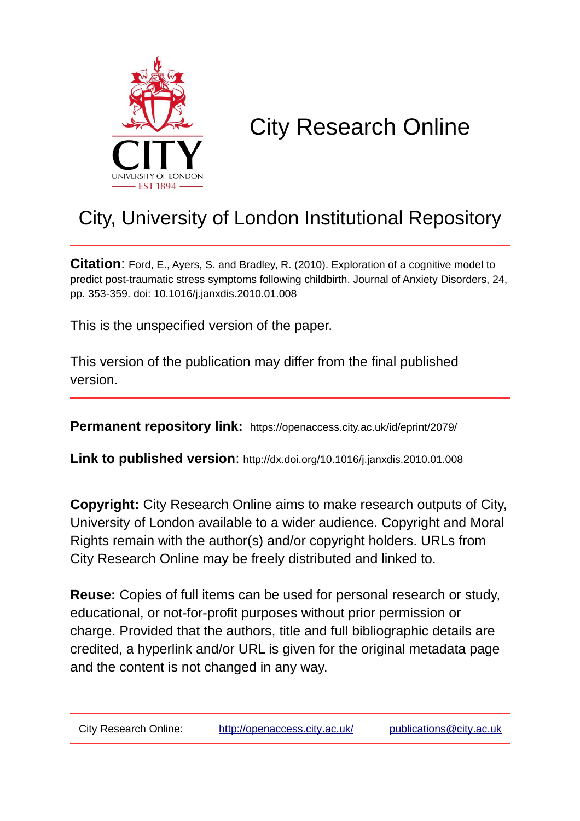

# City Research Online

# City, University of London Institutional Repository

**Citation**: Ford, E., Avers, S. and Bradley, R. (2010). Exploration of a cognitive model to predict post-traumatic stress symptoms following childbirth. Journal of Anxiety Disorders, 24, pp. 353-359. doi: 10.1016/j.janxdis.2010.01.008

This is the unspecified version of the paper.

This version of the publication may differ from the final published version.

**Permanent repository link:** https://openaccess.city.ac.uk/id/eprint/2079/

**Link to published version**: http://dx.doi.org/10.1016/j.janxdis.2010.01.008

**Copyright:** City Research Online aims to make research outputs of City, University of London available to a wider audience. Copyright and Moral Rights remain with the author(s) and/or copyright holders. URLs from City Research Online may be freely distributed and linked to.

**Reuse:** Copies of full items can be used for personal research or study, educational, or not-for-profit purposes without prior permission or charge. Provided that the authors, title and full bibliographic details are credited, a hyperlink and/or URL is given for the original metadata page and the content is not changed in any way.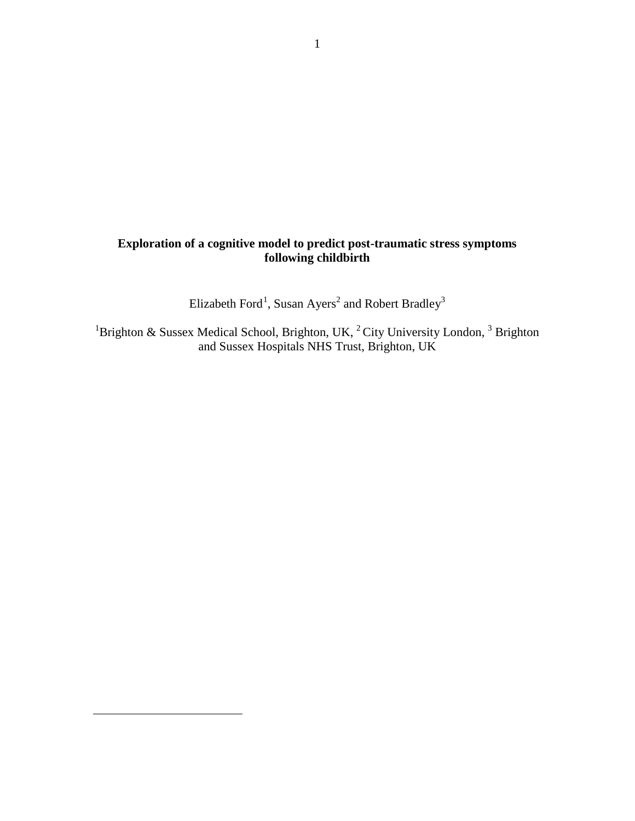# **Exploration of a cognitive model to predict post-traumatic stress symptoms following childbirth**

Elizabeth Ford<sup>[1](#page-1-0)</sup>, Susan Ayers<sup>2</sup> and Robert Bradley<sup>3</sup>

<sup>1</sup>Brighton & Sussex Medical School, Brighton, UK,  ${}^{2}$  City University London,  ${}^{3}$  Brighton and Sussex Hospitals NHS Trust, Brighton, UK

<span id="page-1-0"></span> $\overline{a}$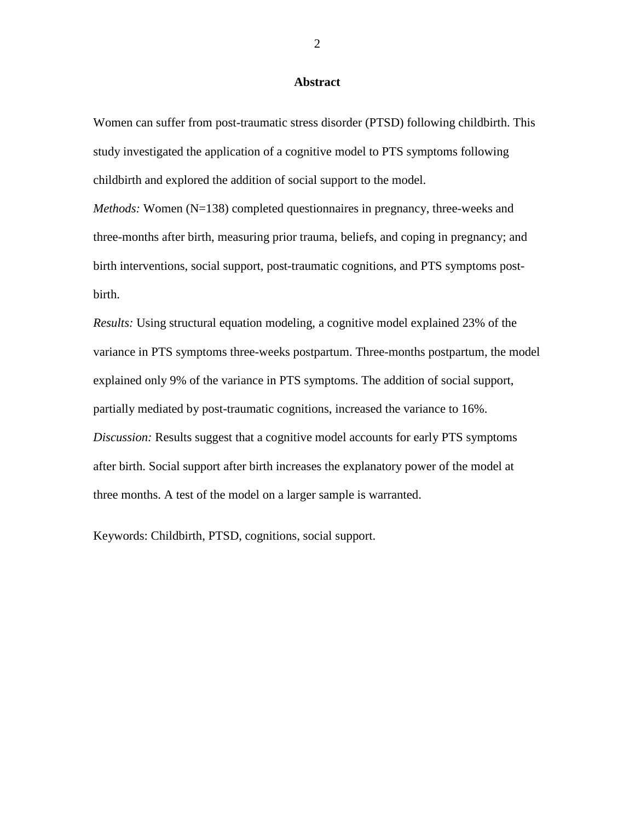### **Abstract**

Women can suffer from post-traumatic stress disorder (PTSD) following childbirth. This study investigated the application of a cognitive model to PTS symptoms following childbirth and explored the addition of social support to the model.

*Methods:* Women (N=138) completed questionnaires in pregnancy, three-weeks and three-months after birth, measuring prior trauma, beliefs, and coping in pregnancy; and birth interventions, social support, post-traumatic cognitions, and PTS symptoms postbirth.

*Results:* Using structural equation modeling, a cognitive model explained 23% of the variance in PTS symptoms three-weeks postpartum. Three-months postpartum, the model explained only 9% of the variance in PTS symptoms. The addition of social support, partially mediated by post-traumatic cognitions, increased the variance to 16%. *Discussion:* Results suggest that a cognitive model accounts for early PTS symptoms after birth. Social support after birth increases the explanatory power of the model at three months. A test of the model on a larger sample is warranted.

Keywords: Childbirth, PTSD, cognitions, social support.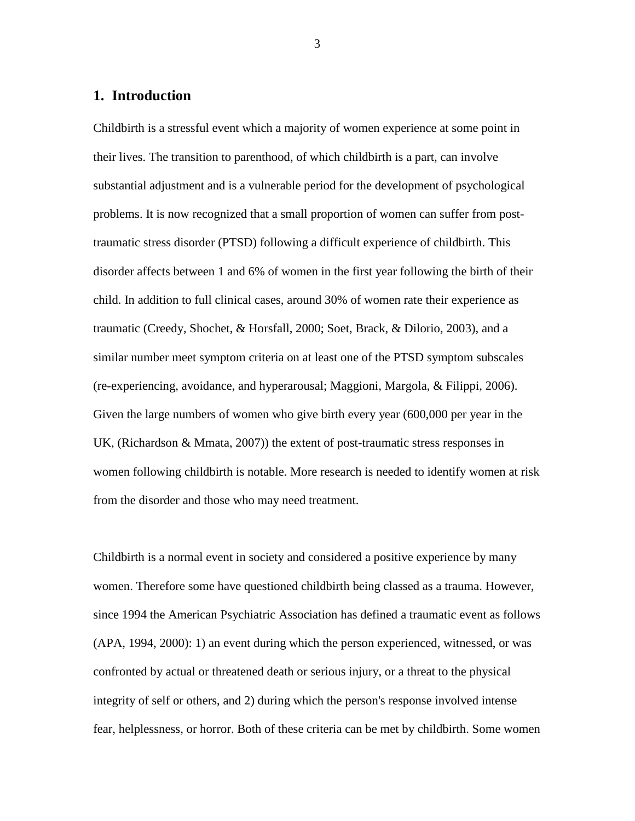# **1. Introduction**

Childbirth is a stressful event which a majority of women experience at some point in their lives. The transition to parenthood, of which childbirth is a part, can involve substantial adjustment and is a vulnerable period for the development of psychological problems. It is now recognized that a small proportion of women can suffer from posttraumatic stress disorder (PTSD) following a difficult experience of childbirth. This disorder affects between 1 and 6% of women in the first year following the birth of their child. In addition to full clinical cases, around 30% of women rate their experience as traumatic (Creedy, Shochet, & Horsfall, 2000; Soet, Brack, & Dilorio, 2003), and a similar number meet symptom criteria on at least one of the PTSD symptom subscales (re-experiencing, avoidance, and hyperarousal; Maggioni, Margola, & Filippi, 2006). Given the large numbers of women who give birth every year (600,000 per year in the UK, (Richardson & Mmata, 2007)) the extent of post-traumatic stress responses in women following childbirth is notable. More research is needed to identify women at risk from the disorder and those who may need treatment.

Childbirth is a normal event in society and considered a positive experience by many women. Therefore some have questioned childbirth being classed as a trauma. However, since 1994 the American Psychiatric Association has defined a traumatic event as follows (APA, 1994, 2000): 1) an event during which the person experienced, witnessed, or was confronted by actual or threatened death or serious injury, or a threat to the physical integrity of self or others, and 2) during which the person's response involved intense fear, helplessness, or horror. Both of these criteria can be met by childbirth. Some women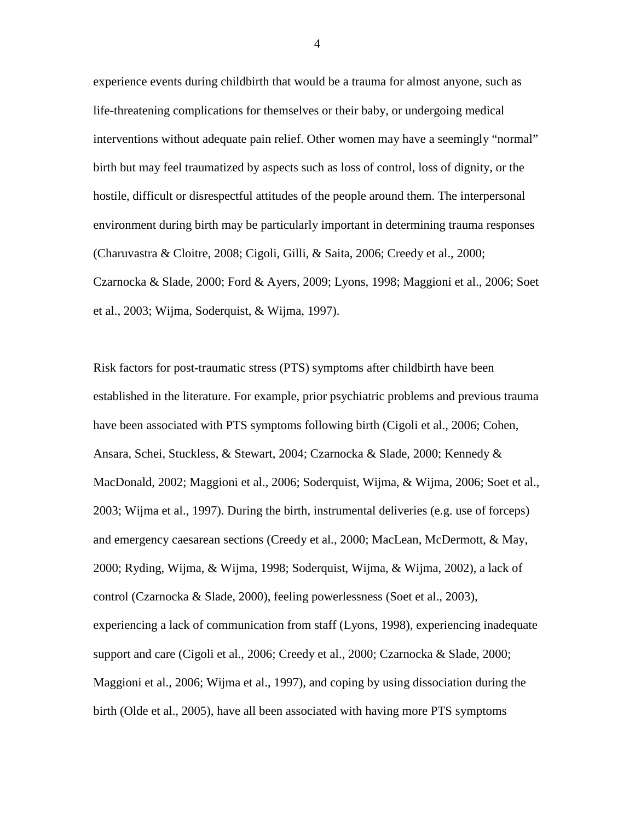experience events during childbirth that would be a trauma for almost anyone, such as life-threatening complications for themselves or their baby, or undergoing medical interventions without adequate pain relief. Other women may have a seemingly "normal" birth but may feel traumatized by aspects such as loss of control, loss of dignity, or the hostile, difficult or disrespectful attitudes of the people around them. The interpersonal environment during birth may be particularly important in determining trauma responses (Charuvastra & Cloitre, 2008; Cigoli, Gilli, & Saita, 2006; Creedy et al., 2000; Czarnocka & Slade, 2000; Ford & Ayers, 2009; Lyons, 1998; Maggioni et al., 2006; Soet et al., 2003; Wijma, Soderquist, & Wijma, 1997).

Risk factors for post-traumatic stress (PTS) symptoms after childbirth have been established in the literature. For example, prior psychiatric problems and previous trauma have been associated with PTS symptoms following birth (Cigoli et al., 2006; Cohen, Ansara, Schei, Stuckless, & Stewart, 2004; Czarnocka & Slade, 2000; Kennedy & MacDonald, 2002; Maggioni et al., 2006; Soderquist, Wijma, & Wijma, 2006; Soet et al., 2003; Wijma et al., 1997). During the birth, instrumental deliveries (e.g. use of forceps) and emergency caesarean sections (Creedy et al*.*, 2000; MacLean, McDermott, & May, 2000; Ryding, Wijma, & Wijma, 1998; Soderquist, Wijma, & Wijma, 2002), a lack of control (Czarnocka & Slade, 2000), feeling powerlessness (Soet et al., 2003), experiencing a lack of communication from staff (Lyons, 1998), experiencing inadequate support and care (Cigoli et al., 2006; Creedy et al., 2000; Czarnocka & Slade, 2000; Maggioni et al., 2006; Wijma et al., 1997), and coping by using dissociation during the birth (Olde et al., 2005), have all been associated with having more PTS symptoms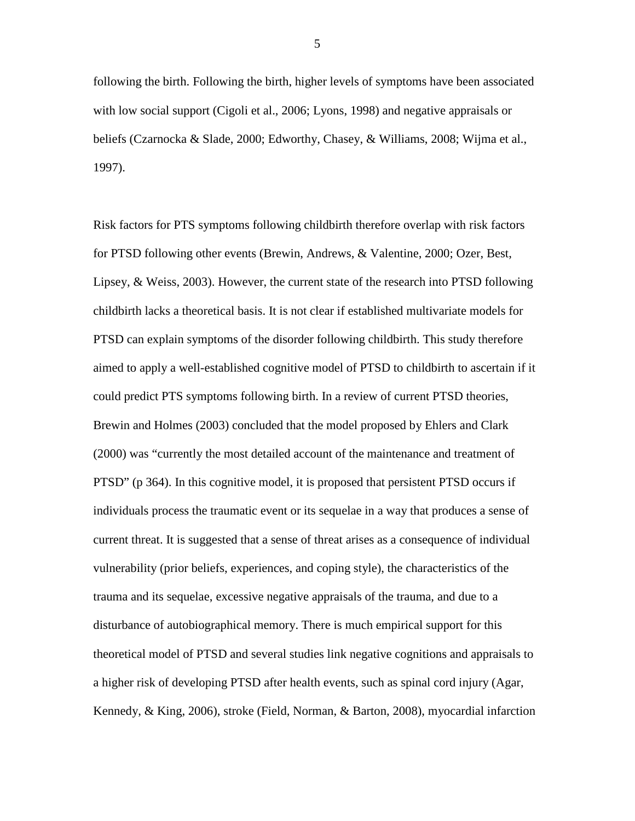following the birth. Following the birth, higher levels of symptoms have been associated with low social support (Cigoli et al., 2006; Lyons, 1998) and negative appraisals or beliefs (Czarnocka & Slade, 2000; Edworthy, Chasey, & Williams, 2008; Wijma et al., 1997).

Risk factors for PTS symptoms following childbirth therefore overlap with risk factors for PTSD following other events (Brewin, Andrews, & Valentine, 2000; Ozer, Best, Lipsey, & Weiss, 2003). However, the current state of the research into PTSD following childbirth lacks a theoretical basis. It is not clear if established multivariate models for PTSD can explain symptoms of the disorder following childbirth. This study therefore aimed to apply a well-established cognitive model of PTSD to childbirth to ascertain if it could predict PTS symptoms following birth. In a review of current PTSD theories, Brewin and Holmes (2003) concluded that the model proposed by Ehlers and Clark (2000) was "currently the most detailed account of the maintenance and treatment of PTSD" (p 364). In this cognitive model, it is proposed that persistent PTSD occurs if individuals process the traumatic event or its sequelae in a way that produces a sense of current threat. It is suggested that a sense of threat arises as a consequence of individual vulnerability (prior beliefs, experiences, and coping style), the characteristics of the trauma and its sequelae, excessive negative appraisals of the trauma, and due to a disturbance of autobiographical memory. There is much empirical support for this theoretical model of PTSD and several studies link negative cognitions and appraisals to a higher risk of developing PTSD after health events, such as spinal cord injury (Agar, Kennedy, & King, 2006), stroke (Field, Norman, & Barton, 2008), myocardial infarction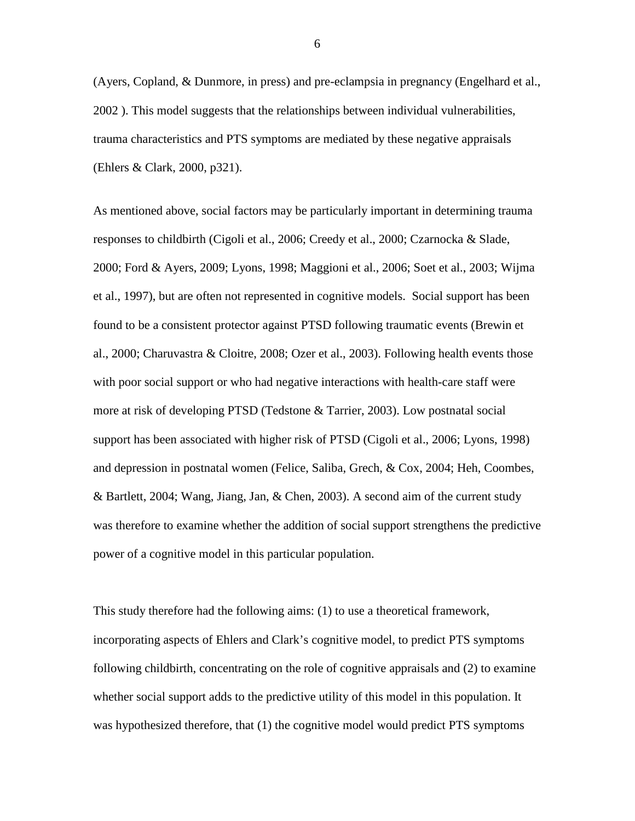(Ayers, Copland, & Dunmore, in press) and pre-eclampsia in pregnancy (Engelhard et al., 2002 ). This model suggests that the relationships between individual vulnerabilities, trauma characteristics and PTS symptoms are mediated by these negative appraisals (Ehlers & Clark, 2000, p321).

As mentioned above, social factors may be particularly important in determining trauma responses to childbirth (Cigoli et al., 2006; Creedy et al., 2000; Czarnocka & Slade, 2000; Ford & Ayers, 2009; Lyons, 1998; Maggioni et al., 2006; Soet et al., 2003; Wijma et al., 1997), but are often not represented in cognitive models. Social support has been found to be a consistent protector against PTSD following traumatic events (Brewin et al., 2000; Charuvastra & Cloitre, 2008; Ozer et al., 2003). Following health events those with poor social support or who had negative interactions with health-care staff were more at risk of developing PTSD (Tedstone & Tarrier, 2003). Low postnatal social support has been associated with higher risk of PTSD (Cigoli et al., 2006; Lyons, 1998) and depression in postnatal women (Felice, Saliba, Grech, & Cox, 2004; Heh, Coombes, & Bartlett, 2004; Wang, Jiang, Jan, & Chen, 2003). A second aim of the current study was therefore to examine whether the addition of social support strengthens the predictive power of a cognitive model in this particular population.

This study therefore had the following aims: (1) to use a theoretical framework, incorporating aspects of Ehlers and Clark's cognitive model, to predict PTS symptoms following childbirth, concentrating on the role of cognitive appraisals and (2) to examine whether social support adds to the predictive utility of this model in this population. It was hypothesized therefore, that (1) the cognitive model would predict PTS symptoms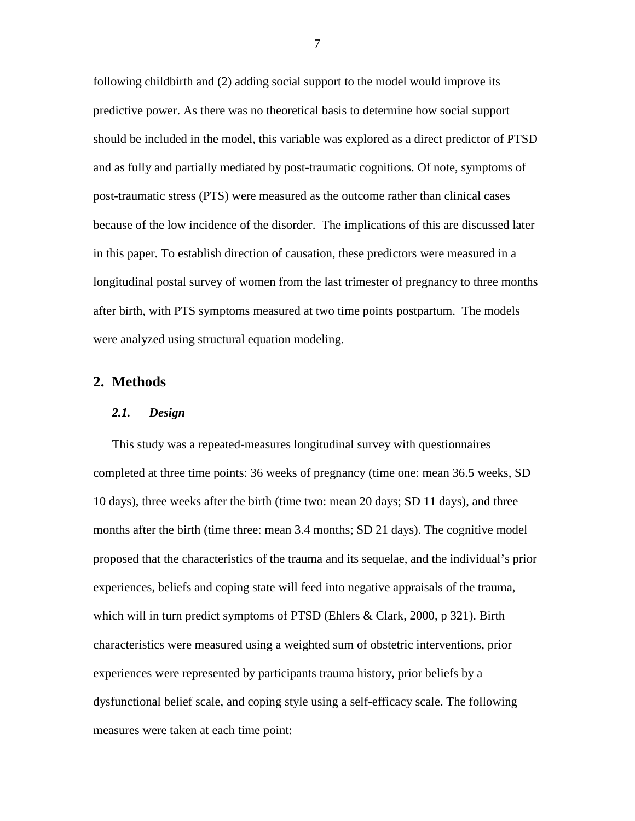following childbirth and (2) adding social support to the model would improve its predictive power. As there was no theoretical basis to determine how social support should be included in the model, this variable was explored as a direct predictor of PTSD and as fully and partially mediated by post-traumatic cognitions. Of note, symptoms of post-traumatic stress (PTS) were measured as the outcome rather than clinical cases because of the low incidence of the disorder. The implications of this are discussed later in this paper. To establish direction of causation, these predictors were measured in a longitudinal postal survey of women from the last trimester of pregnancy to three months after birth, with PTS symptoms measured at two time points postpartum. The models were analyzed using structural equation modeling.

# **2. Methods**

#### *2.1. Design*

This study was a repeated-measures longitudinal survey with questionnaires completed at three time points: 36 weeks of pregnancy (time one: mean 36.5 weeks, SD 10 days), three weeks after the birth (time two: mean 20 days; SD 11 days), and three months after the birth (time three: mean 3.4 months; SD 21 days). The cognitive model proposed that the characteristics of the trauma and its sequelae, and the individual's prior experiences, beliefs and coping state will feed into negative appraisals of the trauma, which will in turn predict symptoms of PTSD (Ehlers & Clark, 2000, p 321). Birth characteristics were measured using a weighted sum of obstetric interventions, prior experiences were represented by participants trauma history, prior beliefs by a dysfunctional belief scale, and coping style using a self-efficacy scale. The following measures were taken at each time point: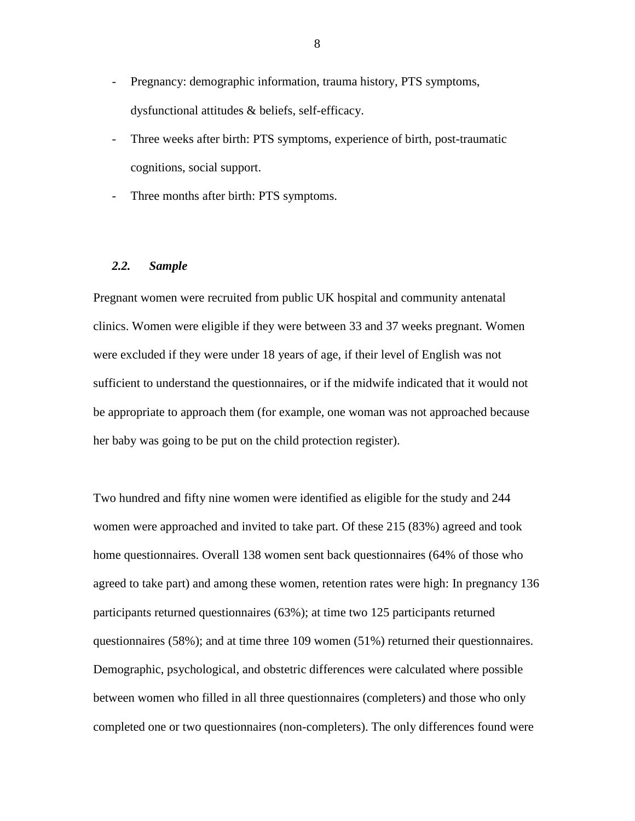- Pregnancy: demographic information, trauma history, PTS symptoms, dysfunctional attitudes & beliefs, self-efficacy.
- Three weeks after birth: PTS symptoms, experience of birth, post-traumatic cognitions, social support.
- Three months after birth: PTS symptoms.

#### *2.2. Sample*

Pregnant women were recruited from public UK hospital and community antenatal clinics. Women were eligible if they were between 33 and 37 weeks pregnant. Women were excluded if they were under 18 years of age, if their level of English was not sufficient to understand the questionnaires, or if the midwife indicated that it would not be appropriate to approach them (for example, one woman was not approached because her baby was going to be put on the child protection register).

Two hundred and fifty nine women were identified as eligible for the study and 244 women were approached and invited to take part. Of these 215 (83%) agreed and took home questionnaires. Overall 138 women sent back questionnaires (64% of those who agreed to take part) and among these women, retention rates were high: In pregnancy 136 participants returned questionnaires (63%); at time two 125 participants returned questionnaires (58%); and at time three 109 women (51%) returned their questionnaires. Demographic, psychological, and obstetric differences were calculated where possible between women who filled in all three questionnaires (completers) and those who only completed one or two questionnaires (non-completers). The only differences found were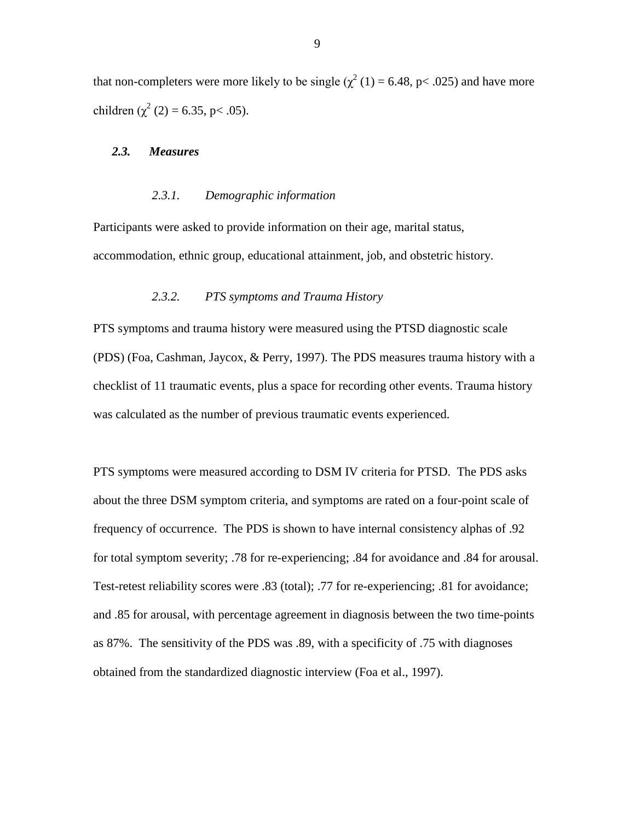that non-completers were more likely to be single ( $\chi^2$  (1) = 6.48, p < .025) and have more children ( $\chi^2$  (2) = 6.35, p < .05).

#### *2.3. Measures*

# *2.3.1. Demographic information*

Participants were asked to provide information on their age, marital status, accommodation, ethnic group, educational attainment, job, and obstetric history.

# *2.3.2. PTS symptoms and Trauma History*

PTS symptoms and trauma history were measured using the PTSD diagnostic scale (PDS) (Foa, Cashman, Jaycox, & Perry, 1997). The PDS measures trauma history with a checklist of 11 traumatic events, plus a space for recording other events. Trauma history was calculated as the number of previous traumatic events experienced.

PTS symptoms were measured according to DSM IV criteria for PTSD. The PDS asks about the three DSM symptom criteria, and symptoms are rated on a four-point scale of frequency of occurrence. The PDS is shown to have internal consistency alphas of .92 for total symptom severity; .78 for re-experiencing; .84 for avoidance and .84 for arousal. Test-retest reliability scores were .83 (total); .77 for re-experiencing; .81 for avoidance; and .85 for arousal, with percentage agreement in diagnosis between the two time-points as 87%. The sensitivity of the PDS was .89, with a specificity of .75 with diagnoses obtained from the standardized diagnostic interview (Foa et al., 1997).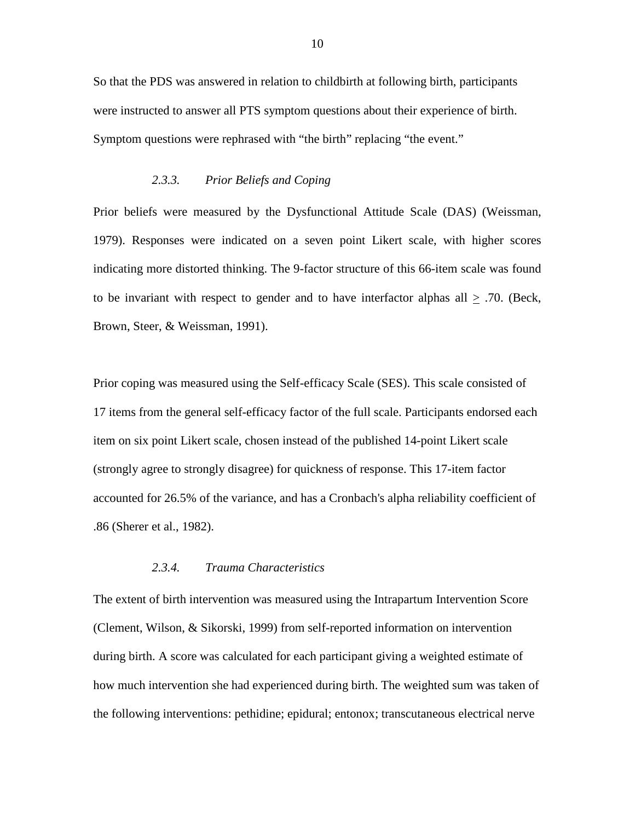So that the PDS was answered in relation to childbirth at following birth, participants were instructed to answer all PTS symptom questions about their experience of birth. Symptom questions were rephrased with "the birth" replacing "the event."

## *2.3.3. Prior Beliefs and Coping*

Prior beliefs were measured by the Dysfunctional Attitude Scale (DAS) (Weissman, 1979). Responses were indicated on a seven point Likert scale, with higher scores indicating more distorted thinking. The 9-factor structure of this 66-item scale was found to be invariant with respect to gender and to have interfactor alphas all  $\geq$  .70. (Beck, Brown, Steer, & Weissman, 1991).

Prior coping was measured using the Self-efficacy Scale (SES). This scale consisted of 17 items from the general self-efficacy factor of the full scale. Participants endorsed each item on six point Likert scale, chosen instead of the published 14-point Likert scale (strongly agree to strongly disagree) for quickness of response. This 17-item factor accounted for 26.5% of the variance, and has a Cronbach's alpha reliability coefficient of .86 (Sherer et al., 1982).

# *2.3.4. Trauma Characteristics*

The extent of birth intervention was measured using the Intrapartum Intervention Score (Clement, Wilson, & Sikorski, 1999) from self-reported information on intervention during birth. A score was calculated for each participant giving a weighted estimate of how much intervention she had experienced during birth. The weighted sum was taken of the following interventions: pethidine; epidural; entonox; transcutaneous electrical nerve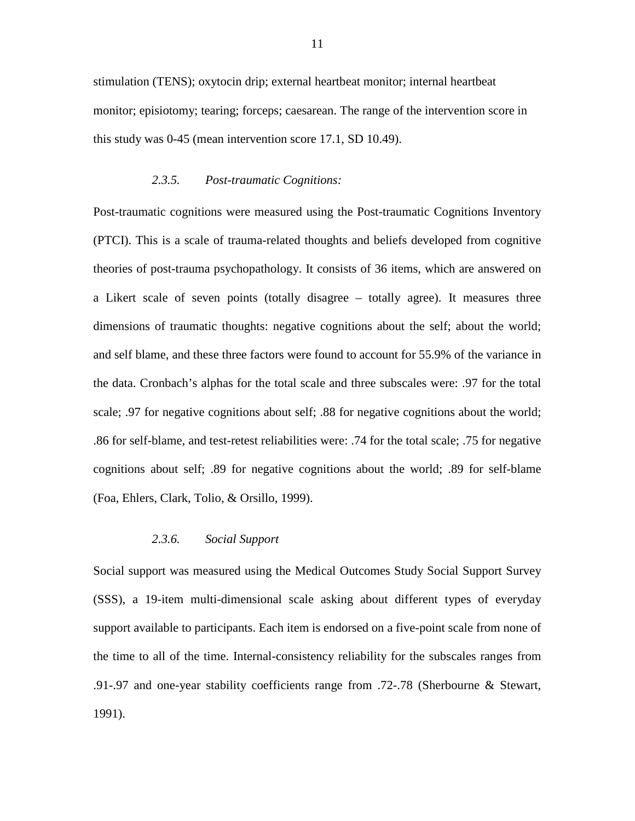stimulation (TENS); oxytocin drip; external heartbeat monitor; internal heartbeat monitor; episiotomy; tearing; forceps; caesarean. The range of the intervention score in this study was 0-45 (mean intervention score 17.1, SD 10.49).

#### *2.3.5. Post-traumatic Cognitions:*

Post-traumatic cognitions were measured using the Post-traumatic Cognitions Inventory (PTCI). This is a scale of trauma-related thoughts and beliefs developed from cognitive theories of post-trauma psychopathology. It consists of 36 items, which are answered on a Likert scale of seven points (totally disagree – totally agree). It measures three dimensions of traumatic thoughts: negative cognitions about the self; about the world; and self blame, and these three factors were found to account for 55.9% of the variance in the data. Cronbach's alphas for the total scale and three subscales were: .97 for the total scale; .97 for negative cognitions about self; .88 for negative cognitions about the world; .86 for self-blame, and test-retest reliabilities were: .74 for the total scale; .75 for negative cognitions about self; .89 for negative cognitions about the world; .89 for self-blame (Foa, Ehlers, Clark, Tolio, & Orsillo, 1999).

# *2.3.6. Social Support*

Social support was measured using the Medical Outcomes Study Social Support Survey (SSS), a 19-item multi-dimensional scale asking about different types of everyday support available to participants. Each item is endorsed on a five-point scale from none of the time to all of the time. Internal-consistency reliability for the subscales ranges from .91-.97 and one-year stability coefficients range from .72-.78 (Sherbourne & Stewart, 1991).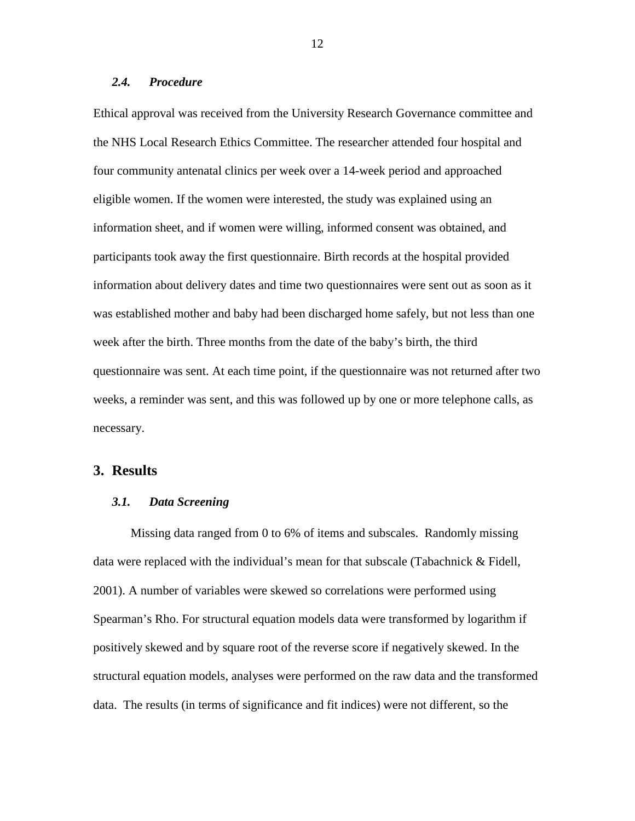### *2.4. Procedure*

Ethical approval was received from the University Research Governance committee and the NHS Local Research Ethics Committee. The researcher attended four hospital and four community antenatal clinics per week over a 14-week period and approached eligible women. If the women were interested, the study was explained using an information sheet, and if women were willing, informed consent was obtained, and participants took away the first questionnaire. Birth records at the hospital provided information about delivery dates and time two questionnaires were sent out as soon as it was established mother and baby had been discharged home safely, but not less than one week after the birth. Three months from the date of the baby's birth, the third questionnaire was sent. At each time point, if the questionnaire was not returned after two weeks, a reminder was sent, and this was followed up by one or more telephone calls, as necessary.

# **3. Results**

# *3.1. Data Screening*

Missing data ranged from 0 to 6% of items and subscales. Randomly missing data were replaced with the individual's mean for that subscale (Tabachnick & Fidell, 2001). A number of variables were skewed so correlations were performed using Spearman's Rho. For structural equation models data were transformed by logarithm if positively skewed and by square root of the reverse score if negatively skewed. In the structural equation models, analyses were performed on the raw data and the transformed data. The results (in terms of significance and fit indices) were not different, so the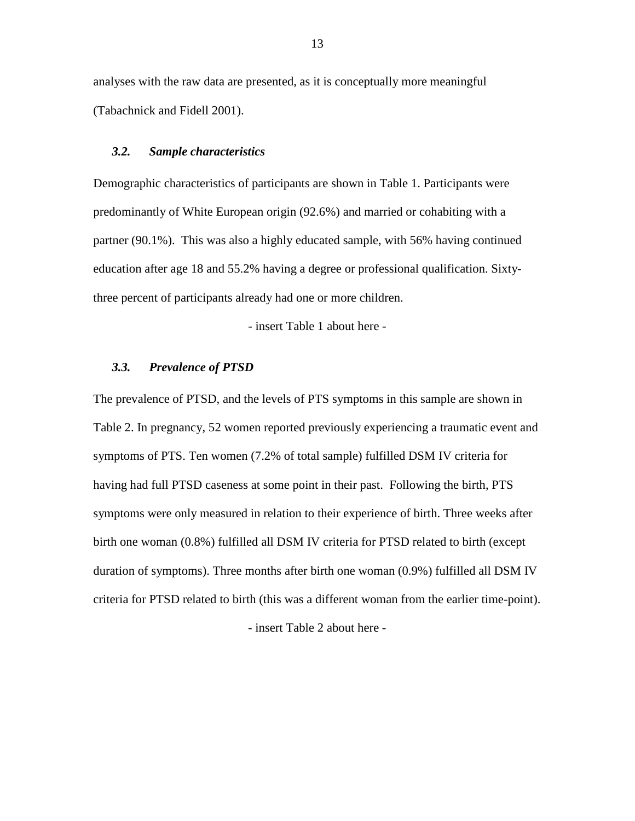analyses with the raw data are presented, as it is conceptually more meaningful (Tabachnick and Fidell 2001).

#### *3.2. Sample characteristics*

Demographic characteristics of participants are shown in [Table 1.](#page-29-0) Participants were predominantly of White European origin (92.6%) and married or cohabiting with a partner (90.1%). This was also a highly educated sample, with 56% having continued education after age 18 and 55.2% having a degree or professional qualification. Sixtythree percent of participants already had one or more children.

- insert [Table 1](#page-29-0) about here -

# *3.3. Prevalence of PTSD*

The prevalence of PTSD, and the levels of PTS symptoms in this sample are shown in [Table 2.](#page-30-0) In pregnancy, 52 women reported previously experiencing a traumatic event and symptoms of PTS. Ten women (7.2% of total sample) fulfilled DSM IV criteria for having had full PTSD caseness at some point in their past. Following the birth, PTS symptoms were only measured in relation to their experience of birth. Three weeks after birth one woman (0.8%) fulfilled all DSM IV criteria for PTSD related to birth (except duration of symptoms). Three months after birth one woman (0.9%) fulfilled all DSM IV criteria for PTSD related to birth (this was a different woman from the earlier time-point).

- insert [Table 2](#page-30-0) about here -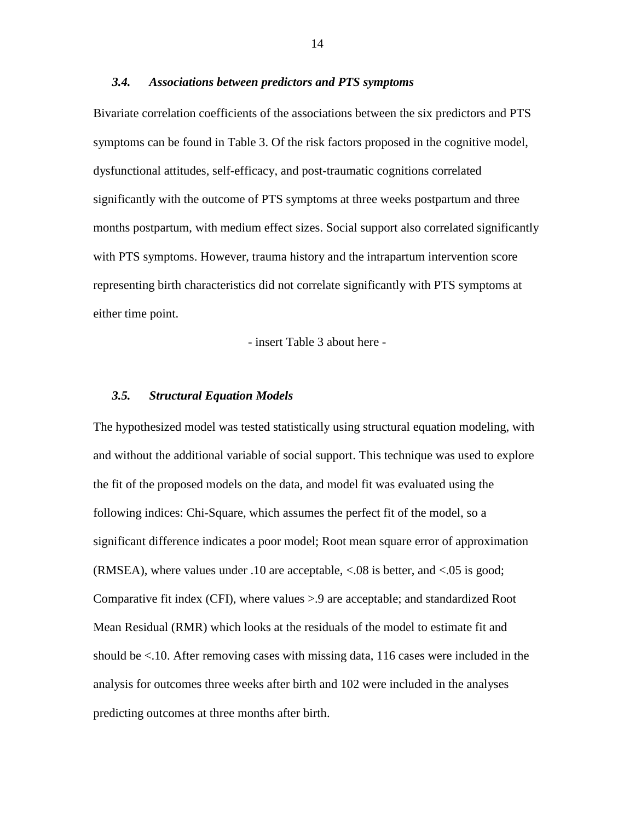## *3.4. Associations between predictors and PTS symptoms*

Bivariate correlation coefficients of the associations between the six predictors and PTS symptoms can be found in [Table 3.](#page-31-0) Of the risk factors proposed in the cognitive model, dysfunctional attitudes, self-efficacy, and post-traumatic cognitions correlated significantly with the outcome of PTS symptoms at three weeks postpartum and three months postpartum, with medium effect sizes. Social support also correlated significantly with PTS symptoms. However, trauma history and the intrapartum intervention score representing birth characteristics did not correlate significantly with PTS symptoms at either time point.

- insert [Table 3](#page-31-0) about here -

# *3.5. Structural Equation Models*

The hypothesized model was tested statistically using structural equation modeling, with and without the additional variable of social support. This technique was used to explore the fit of the proposed models on the data, and model fit was evaluated using the following indices: Chi-Square, which assumes the perfect fit of the model, so a significant difference indicates a poor model; Root mean square error of approximation (RMSEA), where values under .10 are acceptable, <.08 is better, and <.05 is good; Comparative fit index (CFI), where values >.9 are acceptable; and standardized Root Mean Residual (RMR) which looks at the residuals of the model to estimate fit and should be <.10. After removing cases with missing data, 116 cases were included in the analysis for outcomes three weeks after birth and 102 were included in the analyses predicting outcomes at three months after birth.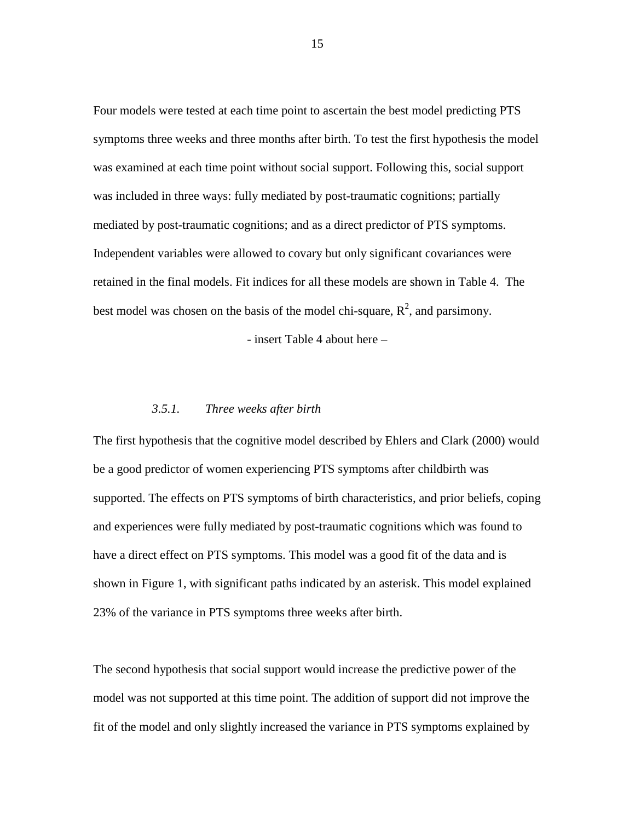Four models were tested at each time point to ascertain the best model predicting PTS symptoms three weeks and three months after birth. To test the first hypothesis the model was examined at each time point without social support. Following this, social support was included in three ways: fully mediated by post-traumatic cognitions; partially mediated by post-traumatic cognitions; and as a direct predictor of PTS symptoms. Independent variables were allowed to covary but only significant covariances were retained in the final models. Fit indices for all these models are shown in Table 4. The best model was chosen on the basis of the model chi-square,  $R^2$ , and parsimony.

- insert [Table 4](#page-32-0) about here –

# *3.5.1. Three weeks after birth*

The first hypothesis that the cognitive model described by Ehlers and Clark (2000) would be a good predictor of women experiencing PTS symptoms after childbirth was supported. The effects on PTS symptoms of birth characteristics, and prior beliefs, coping and experiences were fully mediated by post-traumatic cognitions which was found to have a direct effect on PTS symptoms. This model was a good fit of the data and is shown in [Figure 1,](#page-33-0) with significant paths indicated by an asterisk. This model explained 23% of the variance in PTS symptoms three weeks after birth.

The second hypothesis that social support would increase the predictive power of the model was not supported at this time point. The addition of support did not improve the fit of the model and only slightly increased the variance in PTS symptoms explained by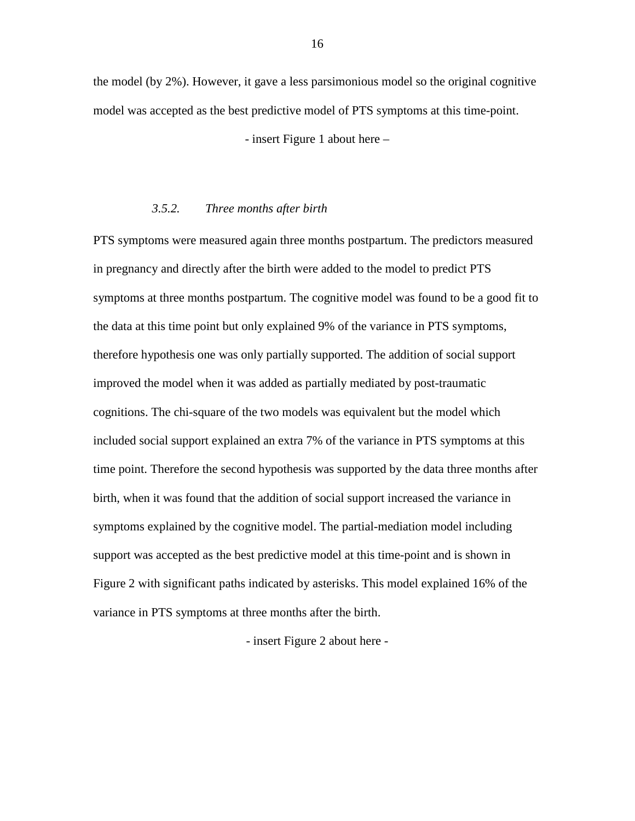the model (by 2%). However, it gave a less parsimonious model so the original cognitive model was accepted as the best predictive model of PTS symptoms at this time-point.

- insert [Figure 1](#page-33-0) about here –

#### *3.5.2. Three months after birth*

PTS symptoms were measured again three months postpartum. The predictors measured in pregnancy and directly after the birth were added to the model to predict PTS symptoms at three months postpartum. The cognitive model was found to be a good fit to the data at this time point but only explained 9% of the variance in PTS symptoms, therefore hypothesis one was only partially supported. The addition of social support improved the model when it was added as partially mediated by post-traumatic cognitions. The chi-square of the two models was equivalent but the model which included social support explained an extra 7% of the variance in PTS symptoms at this time point. Therefore the second hypothesis was supported by the data three months after birth, when it was found that the addition of social support increased the variance in symptoms explained by the cognitive model. The partial-mediation model including support was accepted as the best predictive model at this time-point and is shown in [Figure 2](#page-34-0) with significant paths indicated by asterisks. This model explained 16% of the variance in PTS symptoms at three months after the birth.

- insert [Figure 2](#page-34-0) about here -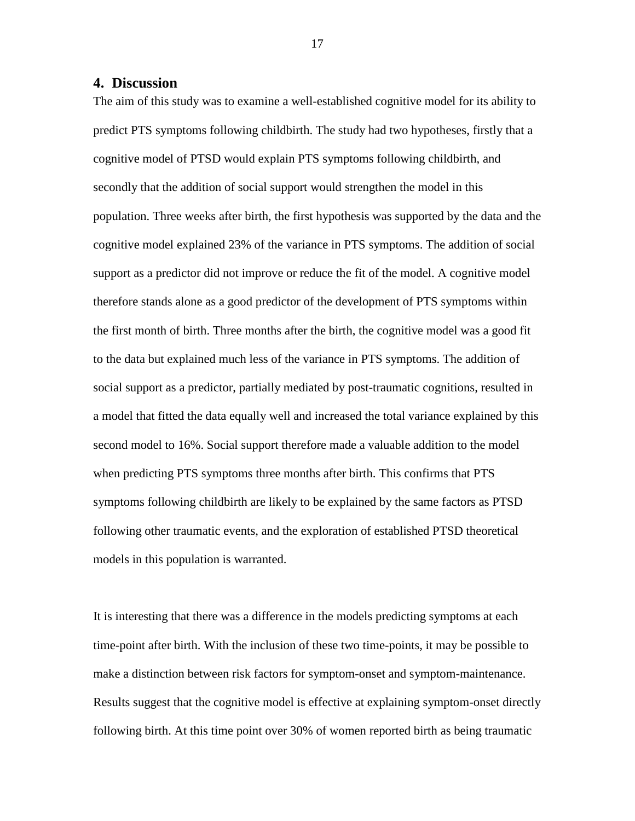# **4. Discussion**

The aim of this study was to examine a well-established cognitive model for its ability to predict PTS symptoms following childbirth. The study had two hypotheses, firstly that a cognitive model of PTSD would explain PTS symptoms following childbirth, and secondly that the addition of social support would strengthen the model in this population. Three weeks after birth, the first hypothesis was supported by the data and the cognitive model explained 23% of the variance in PTS symptoms. The addition of social support as a predictor did not improve or reduce the fit of the model. A cognitive model therefore stands alone as a good predictor of the development of PTS symptoms within the first month of birth. Three months after the birth, the cognitive model was a good fit to the data but explained much less of the variance in PTS symptoms. The addition of social support as a predictor, partially mediated by post-traumatic cognitions, resulted in a model that fitted the data equally well and increased the total variance explained by this second model to 16%. Social support therefore made a valuable addition to the model when predicting PTS symptoms three months after birth. This confirms that PTS symptoms following childbirth are likely to be explained by the same factors as PTSD following other traumatic events, and the exploration of established PTSD theoretical models in this population is warranted.

It is interesting that there was a difference in the models predicting symptoms at each time-point after birth. With the inclusion of these two time-points, it may be possible to make a distinction between risk factors for symptom-onset and symptom-maintenance. Results suggest that the cognitive model is effective at explaining symptom-onset directly following birth. At this time point over 30% of women reported birth as being traumatic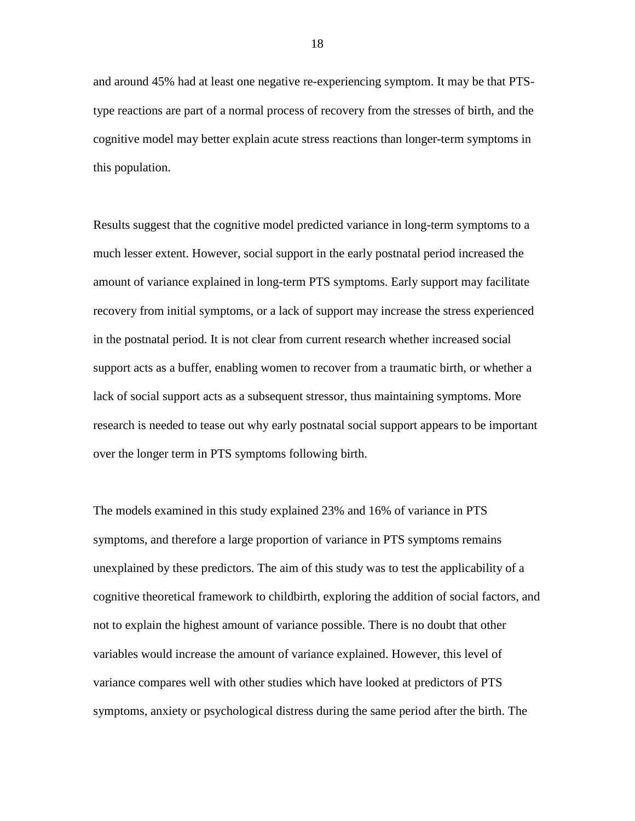and around 45% had at least one negative re-experiencing symptom. It may be that PTStype reactions are part of a normal process of recovery from the stresses of birth, and the cognitive model may better explain acute stress reactions than longer-term symptoms in this population.

Results suggest that the cognitive model predicted variance in long-term symptoms to a much lesser extent. However, social support in the early postnatal period increased the amount of variance explained in long-term PTS symptoms. Early support may facilitate recovery from initial symptoms, or a lack of support may increase the stress experienced in the postnatal period. It is not clear from current research whether increased social support acts as a buffer, enabling women to recover from a traumatic birth, or whether a lack of social support acts as a subsequent stressor, thus maintaining symptoms. More research is needed to tease out why early postnatal social support appears to be important over the longer term in PTS symptoms following birth.

The models examined in this study explained 23% and 16% of variance in PTS symptoms, and therefore a large proportion of variance in PTS symptoms remains unexplained by these predictors. The aim of this study was to test the applicability of a cognitive theoretical framework to childbirth, exploring the addition of social factors, and not to explain the highest amount of variance possible. There is no doubt that other variables would increase the amount of variance explained. However, this level of variance compares well with other studies which have looked at predictors of PTS symptoms, anxiety or psychological distress during the same period after the birth. The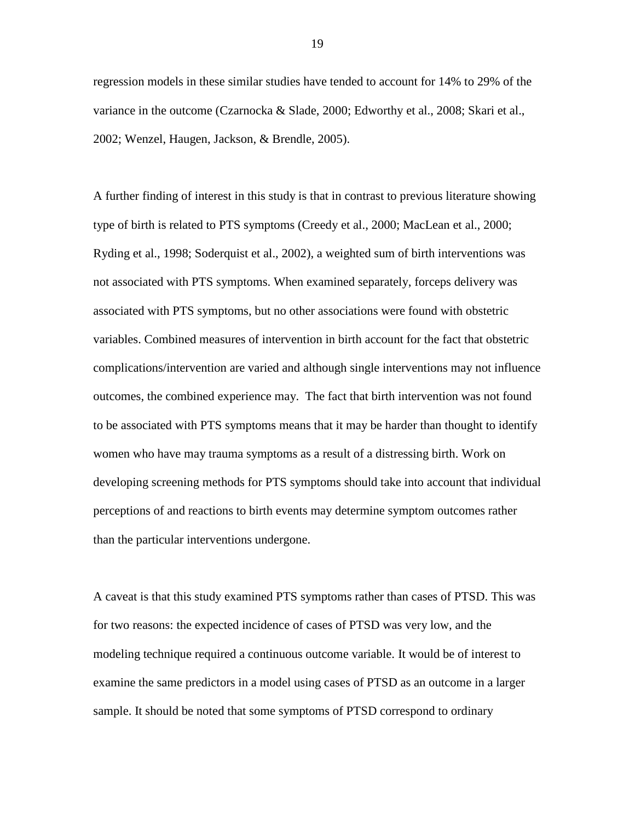regression models in these similar studies have tended to account for 14% to 29% of the variance in the outcome (Czarnocka & Slade, 2000; Edworthy et al., 2008; Skari et al., 2002; Wenzel, Haugen, Jackson, & Brendle, 2005).

A further finding of interest in this study is that in contrast to previous literature showing type of birth is related to PTS symptoms (Creedy et al., 2000; MacLean et al., 2000; Ryding et al., 1998; Soderquist et al., 2002), a weighted sum of birth interventions was not associated with PTS symptoms. When examined separately, forceps delivery was associated with PTS symptoms, but no other associations were found with obstetric variables. Combined measures of intervention in birth account for the fact that obstetric complications/intervention are varied and although single interventions may not influence outcomes, the combined experience may. The fact that birth intervention was not found to be associated with PTS symptoms means that it may be harder than thought to identify women who have may trauma symptoms as a result of a distressing birth. Work on developing screening methods for PTS symptoms should take into account that individual perceptions of and reactions to birth events may determine symptom outcomes rather than the particular interventions undergone.

A caveat is that this study examined PTS symptoms rather than cases of PTSD. This was for two reasons: the expected incidence of cases of PTSD was very low, and the modeling technique required a continuous outcome variable. It would be of interest to examine the same predictors in a model using cases of PTSD as an outcome in a larger sample. It should be noted that some symptoms of PTSD correspond to ordinary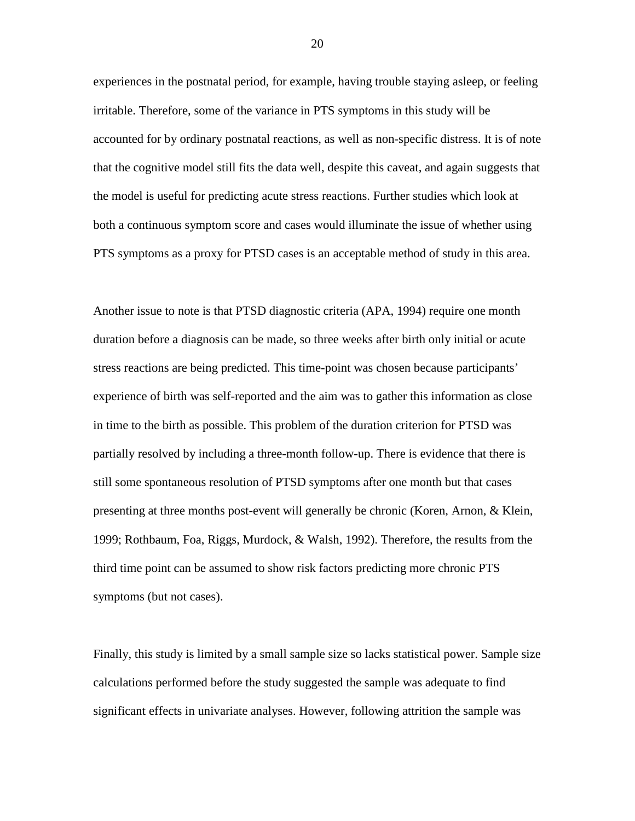experiences in the postnatal period, for example, having trouble staying asleep, or feeling irritable. Therefore, some of the variance in PTS symptoms in this study will be accounted for by ordinary postnatal reactions, as well as non-specific distress. It is of note that the cognitive model still fits the data well, despite this caveat, and again suggests that the model is useful for predicting acute stress reactions. Further studies which look at both a continuous symptom score and cases would illuminate the issue of whether using PTS symptoms as a proxy for PTSD cases is an acceptable method of study in this area.

Another issue to note is that PTSD diagnostic criteria (APA, 1994) require one month duration before a diagnosis can be made, so three weeks after birth only initial or acute stress reactions are being predicted. This time-point was chosen because participants' experience of birth was self-reported and the aim was to gather this information as close in time to the birth as possible. This problem of the duration criterion for PTSD was partially resolved by including a three-month follow-up. There is evidence that there is still some spontaneous resolution of PTSD symptoms after one month but that cases presenting at three months post-event will generally be chronic (Koren, Arnon, & Klein, 1999; Rothbaum, Foa, Riggs, Murdock, & Walsh, 1992). Therefore, the results from the third time point can be assumed to show risk factors predicting more chronic PTS symptoms (but not cases).

Finally, this study is limited by a small sample size so lacks statistical power. Sample size calculations performed before the study suggested the sample was adequate to find significant effects in univariate analyses. However, following attrition the sample was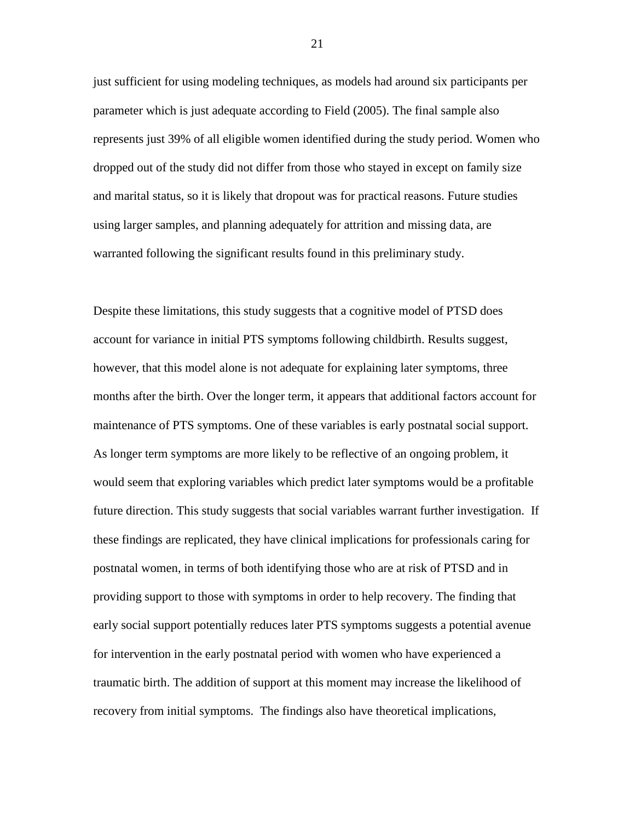just sufficient for using modeling techniques, as models had around six participants per parameter which is just adequate according to Field (2005). The final sample also represents just 39% of all eligible women identified during the study period. Women who dropped out of the study did not differ from those who stayed in except on family size and marital status, so it is likely that dropout was for practical reasons. Future studies using larger samples, and planning adequately for attrition and missing data, are warranted following the significant results found in this preliminary study.

Despite these limitations, this study suggests that a cognitive model of PTSD does account for variance in initial PTS symptoms following childbirth. Results suggest, however, that this model alone is not adequate for explaining later symptoms, three months after the birth. Over the longer term, it appears that additional factors account for maintenance of PTS symptoms. One of these variables is early postnatal social support. As longer term symptoms are more likely to be reflective of an ongoing problem, it would seem that exploring variables which predict later symptoms would be a profitable future direction. This study suggests that social variables warrant further investigation. If these findings are replicated, they have clinical implications for professionals caring for postnatal women, in terms of both identifying those who are at risk of PTSD and in providing support to those with symptoms in order to help recovery. The finding that early social support potentially reduces later PTS symptoms suggests a potential avenue for intervention in the early postnatal period with women who have experienced a traumatic birth. The addition of support at this moment may increase the likelihood of recovery from initial symptoms. The findings also have theoretical implications,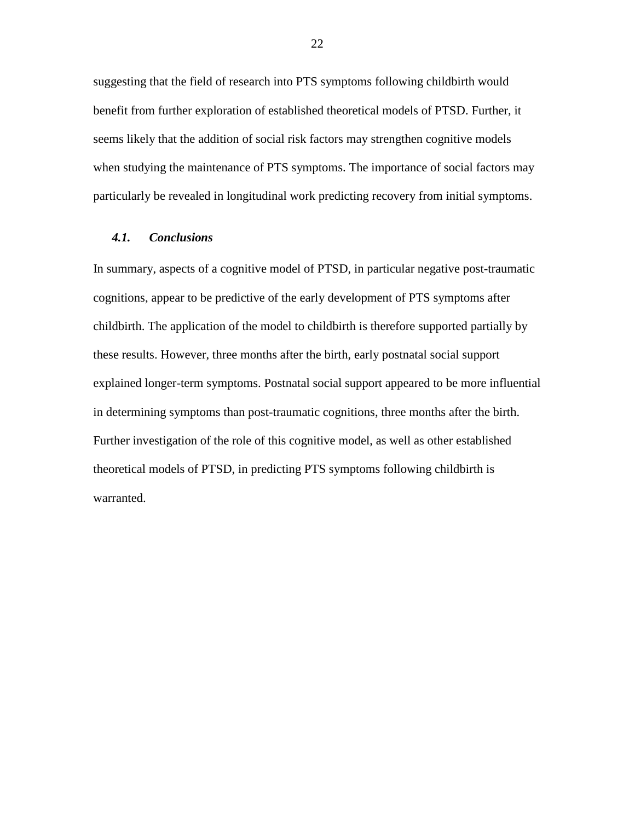suggesting that the field of research into PTS symptoms following childbirth would benefit from further exploration of established theoretical models of PTSD. Further, it seems likely that the addition of social risk factors may strengthen cognitive models when studying the maintenance of PTS symptoms. The importance of social factors may particularly be revealed in longitudinal work predicting recovery from initial symptoms.

# *4.1. Conclusions*

In summary, aspects of a cognitive model of PTSD, in particular negative post-traumatic cognitions, appear to be predictive of the early development of PTS symptoms after childbirth. The application of the model to childbirth is therefore supported partially by these results. However, three months after the birth, early postnatal social support explained longer-term symptoms. Postnatal social support appeared to be more influential in determining symptoms than post-traumatic cognitions, three months after the birth. Further investigation of the role of this cognitive model, as well as other established theoretical models of PTSD, in predicting PTS symptoms following childbirth is warranted.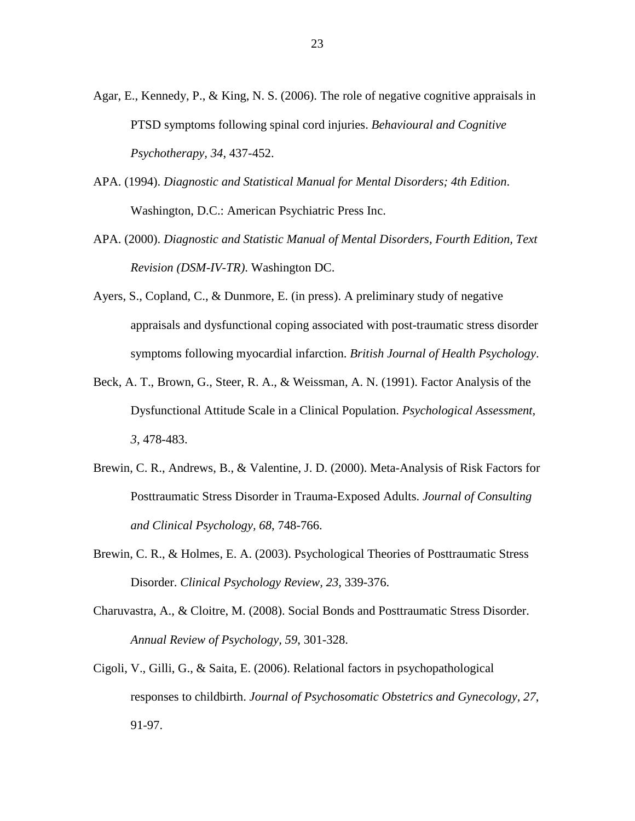- Agar, E., Kennedy, P., & King, N. S. (2006). The role of negative cognitive appraisals in PTSD symptoms following spinal cord injuries. *Behavioural and Cognitive Psychotherapy, 34*, 437-452.
- APA. (1994). *Diagnostic and Statistical Manual for Mental Disorders; 4th Edition*. Washington, D.C.: American Psychiatric Press Inc.
- APA. (2000). *Diagnostic and Statistic Manual of Mental Disorders, Fourth Edition, Text Revision (DSM-IV-TR)*. Washington DC.
- Ayers, S., Copland, C., & Dunmore, E. (in press). A preliminary study of negative appraisals and dysfunctional coping associated with post-traumatic stress disorder symptoms following myocardial infarction. *British Journal of Health Psychology*.
- Beck, A. T., Brown, G., Steer, R. A., & Weissman, A. N. (1991). Factor Analysis of the Dysfunctional Attitude Scale in a Clinical Population. *Psychological Assessment, 3*, 478-483.
- Brewin, C. R., Andrews, B., & Valentine, J. D. (2000). Meta-Analysis of Risk Factors for Posttraumatic Stress Disorder in Trauma-Exposed Adults. *Journal of Consulting and Clinical Psychology, 68*, 748-766.
- Brewin, C. R., & Holmes, E. A. (2003). Psychological Theories of Posttraumatic Stress Disorder. *Clinical Psychology Review, 23*, 339-376.
- Charuvastra, A., & Cloitre, M. (2008). Social Bonds and Posttraumatic Stress Disorder. *Annual Review of Psychology, 59*, 301-328.
- Cigoli, V., Gilli, G., & Saita, E. (2006). Relational factors in psychopathological responses to childbirth. *Journal of Psychosomatic Obstetrics and Gynecology, 27*, 91-97.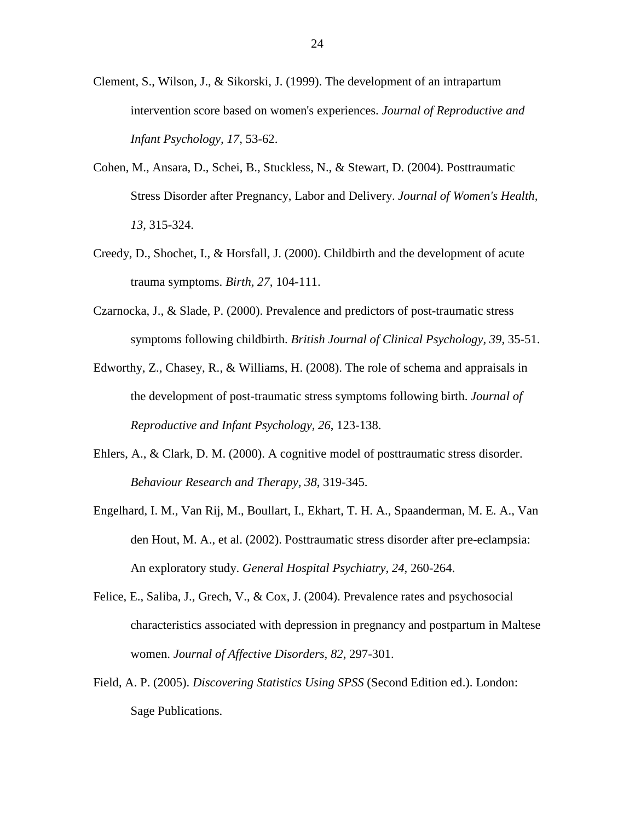- Clement, S., Wilson, J., & Sikorski, J. (1999). The development of an intrapartum intervention score based on women's experiences. *Journal of Reproductive and Infant Psychology, 17*, 53-62.
- Cohen, M., Ansara, D., Schei, B., Stuckless, N., & Stewart, D. (2004). Posttraumatic Stress Disorder after Pregnancy, Labor and Delivery. *Journal of Women's Health, 13*, 315-324.
- Creedy, D., Shochet, I., & Horsfall, J. (2000). Childbirth and the development of acute trauma symptoms. *Birth, 27*, 104-111.
- Czarnocka, J., & Slade, P. (2000). Prevalence and predictors of post-traumatic stress symptoms following childbirth. *British Journal of Clinical Psychology, 39*, 35-51.
- Edworthy, Z., Chasey, R., & Williams, H. (2008). The role of schema and appraisals in the development of post-traumatic stress symptoms following birth. *Journal of Reproductive and Infant Psychology, 26*, 123-138.
- Ehlers, A., & Clark, D. M. (2000). A cognitive model of posttraumatic stress disorder. *Behaviour Research and Therapy, 38*, 319-345.
- Engelhard, I. M., Van Rij, M., Boullart, I., Ekhart, T. H. A., Spaanderman, M. E. A., Van den Hout, M. A., et al. (2002). Posttraumatic stress disorder after pre-eclampsia: An exploratory study. *General Hospital Psychiatry, 24*, 260-264.
- Felice, E., Saliba, J., Grech, V., & Cox, J. (2004). Prevalence rates and psychosocial characteristics associated with depression in pregnancy and postpartum in Maltese women. *Journal of Affective Disorders, 82*, 297-301.
- Field, A. P. (2005). *Discovering Statistics Using SPSS* (Second Edition ed.). London: Sage Publications.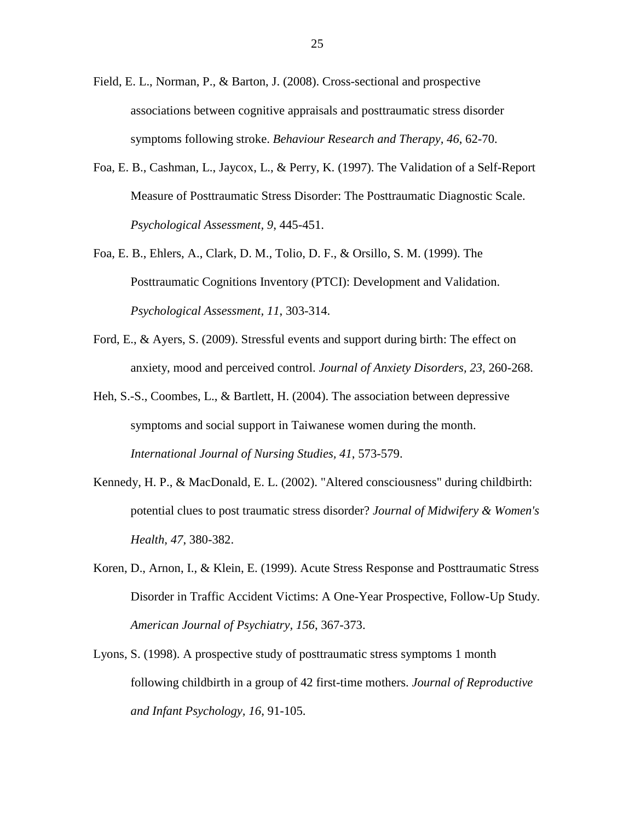- Field, E. L., Norman, P., & Barton, J. (2008). Cross-sectional and prospective associations between cognitive appraisals and posttraumatic stress disorder symptoms following stroke. *Behaviour Research and Therapy, 46*, 62-70.
- Foa, E. B., Cashman, L., Jaycox, L., & Perry, K. (1997). The Validation of a Self-Report Measure of Posttraumatic Stress Disorder: The Posttraumatic Diagnostic Scale. *Psychological Assessment, 9*, 445-451.
- Foa, E. B., Ehlers, A., Clark, D. M., Tolio, D. F., & Orsillo, S. M. (1999). The Posttraumatic Cognitions Inventory (PTCI): Development and Validation. *Psychological Assessment, 11*, 303-314.
- Ford, E., & Ayers, S. (2009). Stressful events and support during birth: The effect on anxiety, mood and perceived control. *Journal of Anxiety Disorders, 23*, 260-268.
- Heh, S.-S., Coombes, L., & Bartlett, H. (2004). The association between depressive symptoms and social support in Taiwanese women during the month. *International Journal of Nursing Studies, 41*, 573-579.
- Kennedy, H. P., & MacDonald, E. L. (2002). "Altered consciousness" during childbirth: potential clues to post traumatic stress disorder? *Journal of Midwifery & Women's Health, 47*, 380-382.
- Koren, D., Arnon, I., & Klein, E. (1999). Acute Stress Response and Posttraumatic Stress Disorder in Traffic Accident Victims: A One-Year Prospective, Follow-Up Study. *American Journal of Psychiatry, 156*, 367-373.
- Lyons, S. (1998). A prospective study of posttraumatic stress symptoms 1 month following childbirth in a group of 42 first-time mothers. *Journal of Reproductive and Infant Psychology, 16*, 91-105.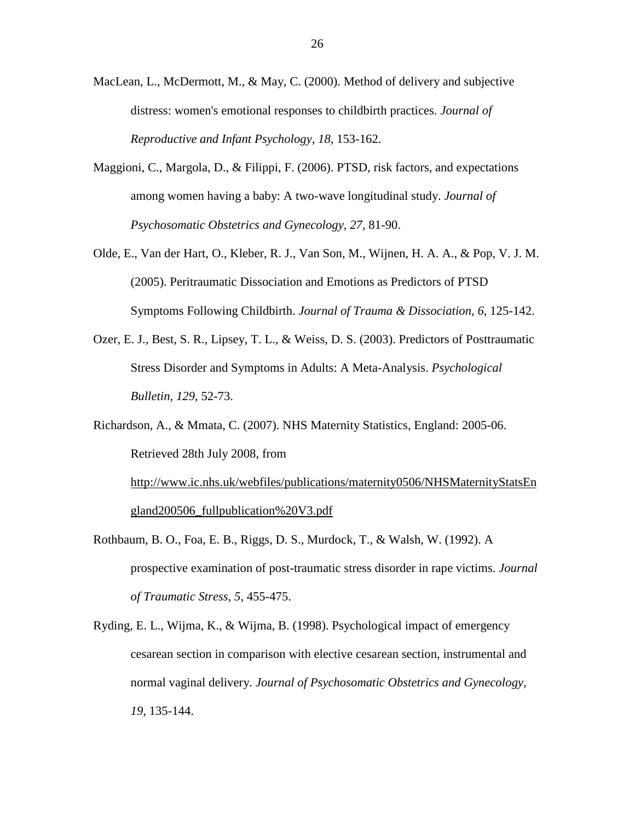- MacLean, L., McDermott, M., & May, C. (2000). Method of delivery and subjective distress: women's emotional responses to childbirth practices. *Journal of Reproductive and Infant Psychology, 18*, 153-162.
- Maggioni, C., Margola, D., & Filippi, F. (2006). PTSD, risk factors, and expectations among women having a baby: A two-wave longitudinal study. *Journal of Psychosomatic Obstetrics and Gynecology, 27*, 81-90.
- Olde, E., Van der Hart, O., Kleber, R. J., Van Son, M., Wijnen, H. A. A., & Pop, V. J. M. (2005). Peritraumatic Dissociation and Emotions as Predictors of PTSD Symptoms Following Childbirth. *Journal of Trauma & Dissociation, 6*, 125-142.
- Ozer, E. J., Best, S. R., Lipsey, T. L., & Weiss, D. S. (2003). Predictors of Posttraumatic Stress Disorder and Symptoms in Adults: A Meta-Analysis. *Psychological Bulletin, 129*, 52-73.

Richardson, A., & Mmata, C. (2007). NHS Maternity Statistics, England: 2005-06. Retrieved 28th July 2008, from [http://www.ic.nhs.uk/webfiles/publications/maternity0506/NHSMaternityStatsEn](http://www.ic.nhs.uk/webfiles/publications/maternity0506/NHSMaternityStatsEngland200506_fullpublication%20V3.pdf) [gland200506\\_fullpublication%20V3.pdf](http://www.ic.nhs.uk/webfiles/publications/maternity0506/NHSMaternityStatsEngland200506_fullpublication%20V3.pdf)

- Rothbaum, B. O., Foa, E. B., Riggs, D. S., Murdock, T., & Walsh, W. (1992). A prospective examination of post-traumatic stress disorder in rape victims. *Journal of Traumatic Stress, 5*, 455-475.
- Ryding, E. L., Wijma, K., & Wijma, B. (1998). Psychological impact of emergency cesarean section in comparison with elective cesarean section, instrumental and normal vaginal delivery. *Journal of Psychosomatic Obstetrics and Gynecology, 19*, 135-144.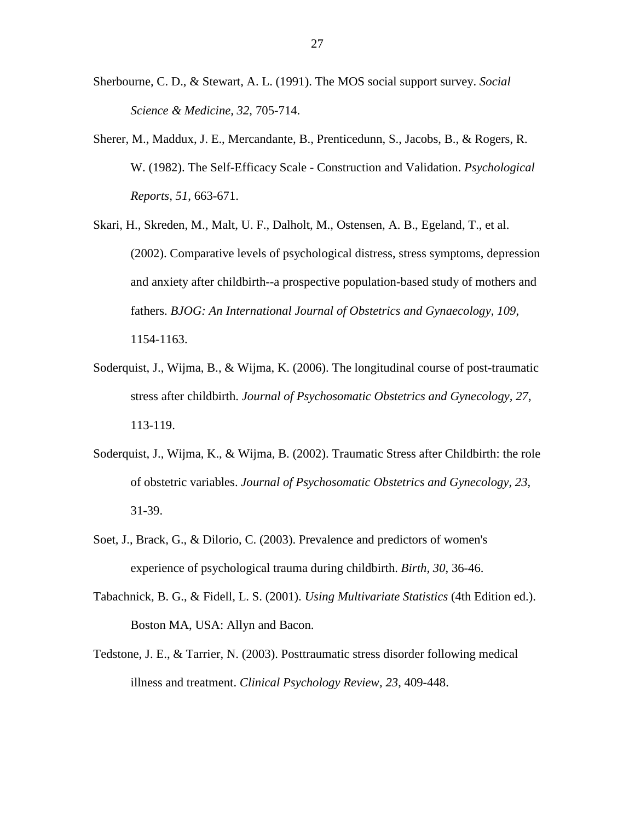- Sherbourne, C. D., & Stewart, A. L. (1991). The MOS social support survey. *Social Science & Medicine, 32*, 705-714.
- Sherer, M., Maddux, J. E., Mercandante, B., Prenticedunn, S., Jacobs, B., & Rogers, R. W. (1982). The Self-Efficacy Scale - Construction and Validation. *Psychological Reports, 51*, 663-671.
- Skari, H., Skreden, M., Malt, U. F., Dalholt, M., Ostensen, A. B., Egeland, T., et al. (2002). Comparative levels of psychological distress, stress symptoms, depression and anxiety after childbirth--a prospective population-based study of mothers and fathers. *BJOG: An International Journal of Obstetrics and Gynaecology, 109*, 1154-1163.
- Soderquist, J., Wijma, B., & Wijma, K. (2006). The longitudinal course of post-traumatic stress after childbirth. *Journal of Psychosomatic Obstetrics and Gynecology, 27*, 113-119.
- Soderquist, J., Wijma, K., & Wijma, B. (2002). Traumatic Stress after Childbirth: the role of obstetric variables. *Journal of Psychosomatic Obstetrics and Gynecology, 23*, 31-39.
- Soet, J., Brack, G., & Dilorio, C. (2003). Prevalence and predictors of women's experience of psychological trauma during childbirth. *Birth, 30*, 36-46.
- Tabachnick, B. G., & Fidell, L. S. (2001). *Using Multivariate Statistics* (4th Edition ed.). Boston MA, USA: Allyn and Bacon.
- Tedstone, J. E., & Tarrier, N. (2003). Posttraumatic stress disorder following medical illness and treatment. *Clinical Psychology Review, 23*, 409-448.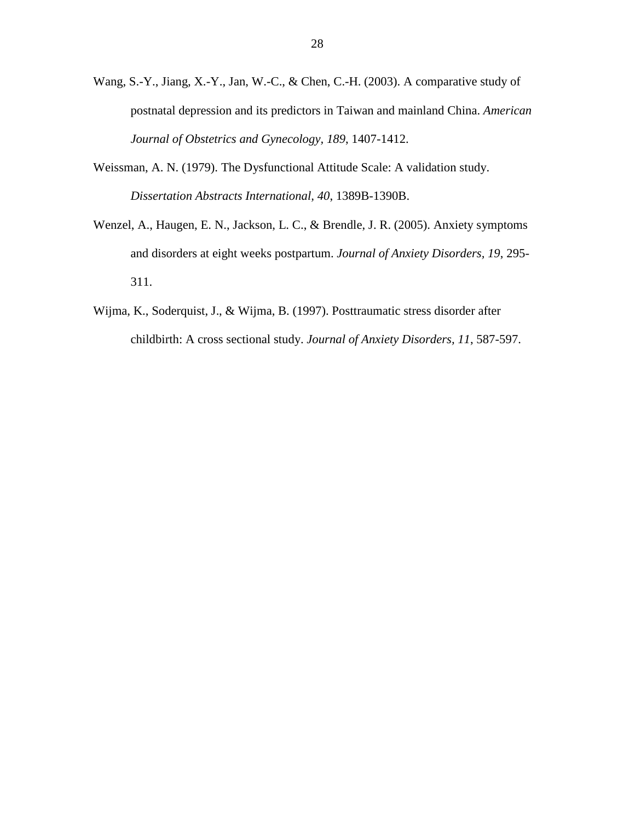- Wang, S.-Y., Jiang, X.-Y., Jan, W.-C., & Chen, C.-H. (2003). A comparative study of postnatal depression and its predictors in Taiwan and mainland China. *American Journal of Obstetrics and Gynecology, 189*, 1407-1412.
- Weissman, A. N. (1979). The Dysfunctional Attitude Scale: A validation study. *Dissertation Abstracts International, 40*, 1389B-1390B.
- Wenzel, A., Haugen, E. N., Jackson, L. C., & Brendle, J. R. (2005). Anxiety symptoms and disorders at eight weeks postpartum. *Journal of Anxiety Disorders, 19*, 295- 311.
- Wijma, K., Soderquist, J., & Wijma, B. (1997). Posttraumatic stress disorder after childbirth: A cross sectional study. *Journal of Anxiety Disorders, 11*, 587-597.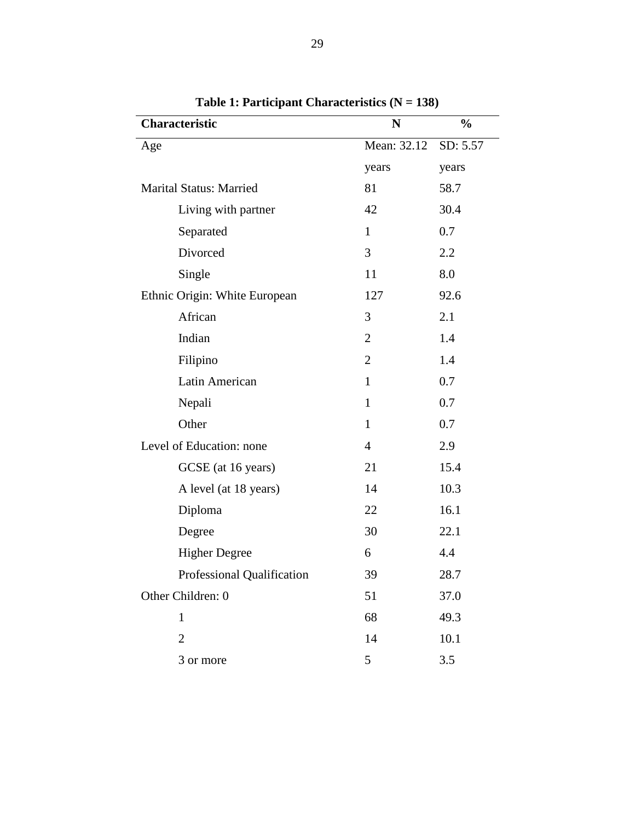<span id="page-29-0"></span>

| <b>Characteristic</b>          | N              | $\frac{6}{9}$ |  |
|--------------------------------|----------------|---------------|--|
| Age                            | Mean: 32.12    | SD: 5.57      |  |
|                                | years          | years         |  |
| <b>Marital Status: Married</b> | 81             | 58.7          |  |
| Living with partner            | 42             | 30.4          |  |
| Separated                      | $\mathbf{1}$   | 0.7           |  |
| Divorced                       | 3              | 2.2           |  |
| Single                         | 11             | 8.0           |  |
| Ethnic Origin: White European  | 127            | 92.6          |  |
| African                        | 3              | 2.1           |  |
| Indian                         | $\overline{2}$ | 1.4           |  |
| Filipino                       | $\overline{2}$ | 1.4           |  |
| Latin American                 | $\mathbf{1}$   | 0.7           |  |
| Nepali                         | $\mathbf{1}$   | 0.7           |  |
| Other                          | $\mathbf{1}$   | 0.7           |  |
| Level of Education: none       | $\overline{4}$ | 2.9           |  |
| GCSE (at 16 years)             | 21             | 15.4          |  |
| A level (at 18 years)          | 14             | 10.3          |  |
| Diploma                        | 22             | 16.1          |  |
| Degree                         | 30             | 22.1          |  |
| <b>Higher Degree</b>           | 6              | 4.4           |  |
| Professional Qualification     | 39             | 28.7          |  |
| Other Children: 0              | 51             | 37.0          |  |
| $\mathbf{1}$                   | 68             | 49.3          |  |
| $\overline{2}$                 | 14             | 10.1          |  |
| 3 or more                      | 5              | 3.5           |  |

**Table 1: Participant Characteristics (N = 138)**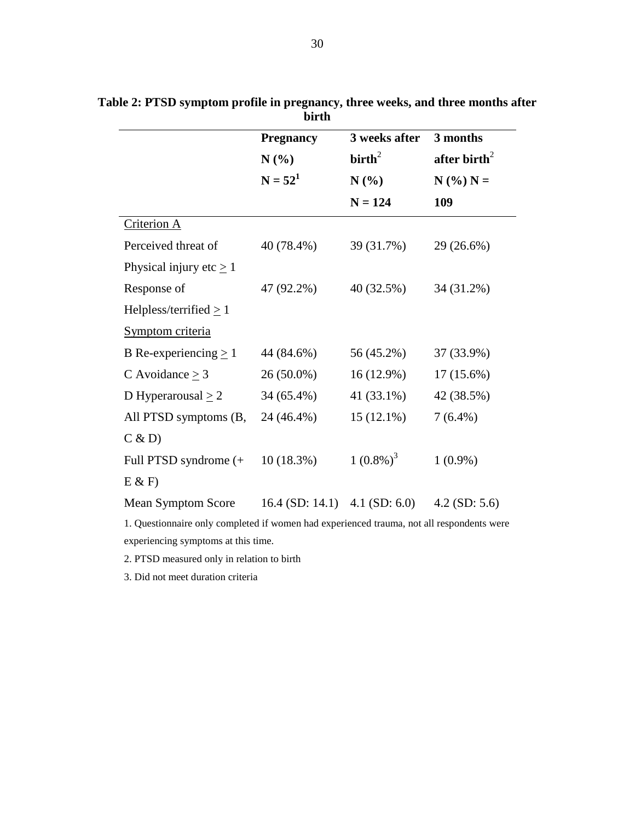|                              | <b>Pregnancy</b><br>N(%) | 3 weeks after    | 3 months                                  |  |
|------------------------------|--------------------------|------------------|-------------------------------------------|--|
|                              |                          | $\text{birth}^2$ | after birth <sup>2</sup><br>$N$ (%) $N =$ |  |
|                              | $N = 52^1$               | N(%              |                                           |  |
|                              |                          | $N = 124$        | 109                                       |  |
| Criterion A                  |                          |                  |                                           |  |
| Perceived threat of          | 40 (78.4%)               | 39 (31.7%)       | 29 (26.6%)                                |  |
| Physical injury etc $\geq$ 1 |                          |                  |                                           |  |
| Response of                  | 47 (92.2%)               | 40 (32.5%)       | 34 (31.2%)                                |  |
| Helpless/terrified $\geq$ 1  |                          |                  |                                           |  |
| Symptom criteria             |                          |                  |                                           |  |
| B Re-experiencing $\geq 1$   | 44 (84.6%)               | 56 (45.2%)       | 37 (33.9%)                                |  |
| C Avoidance $>$ 3            | $26(50.0\%)$             | $16(12.9\%)$     | $17(15.6\%)$                              |  |
| D Hyperarousal $\geq 2$      | 34 (65.4%)               | 41 (33.1%)       | 42 (38.5%)                                |  |
| All PTSD symptoms (B,        | 24 (46.4%)               | $15(12.1\%)$     | $7(6.4\%)$                                |  |
| C & D                        |                          |                  |                                           |  |
| Full PTSD syndrome (+        | 10(18.3%)                | $1(0.8\%)^3$     | $1(0.9\%)$                                |  |
| E & F                        |                          |                  |                                           |  |
| <b>Mean Symptom Score</b>    | $16.4$ (SD: 14.1)        | 4.1 (SD: $6.0$ ) | $4.2$ (SD: 5.6)                           |  |

<span id="page-30-0"></span>**Table 2: PTSD symptom profile in pregnancy, three weeks, and three months after birth**

1. Questionnaire only completed if women had experienced trauma, not all respondents were experiencing symptoms at this time.

2. PTSD measured only in relation to birth

3. Did not meet duration criteria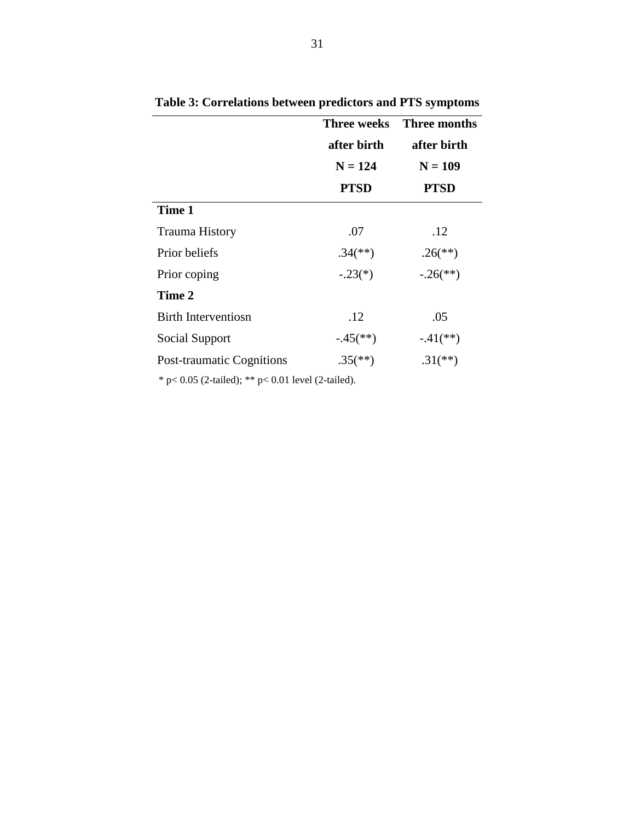|                                  | <b>Three weeks</b><br>after birth | <b>Three months</b><br>after birth |  |  |
|----------------------------------|-----------------------------------|------------------------------------|--|--|
|                                  | $N = 124$                         | $N = 109$                          |  |  |
|                                  | <b>PTSD</b>                       | <b>PTSD</b>                        |  |  |
| Time 1                           |                                   |                                    |  |  |
| <b>Trauma History</b>            | .07                               | .12                                |  |  |
| Prior beliefs                    | $.34$ <sup>(**)</sup> )           | $.26$ <sup>(**)</sup> )            |  |  |
| Prior coping                     | $-.23(*)$                         | $-.26$ <sup>**</sup> )             |  |  |
| Time 2                           |                                   |                                    |  |  |
| Birth Interventiosn              | .12                               | .05                                |  |  |
| Social Support                   | $-.45$ <sup>**</sup> )            | $-.41$ (**)                        |  |  |
| <b>Post-traumatic Cognitions</b> | $.35^{(*)}$                       | $.31$ <sup>(**)</sup> )            |  |  |

<span id="page-31-0"></span>**Table 3: Correlations between predictors and PTS symptoms**

\* p< 0.05 (2-tailed); \*\* p< 0.01 level (2-tailed).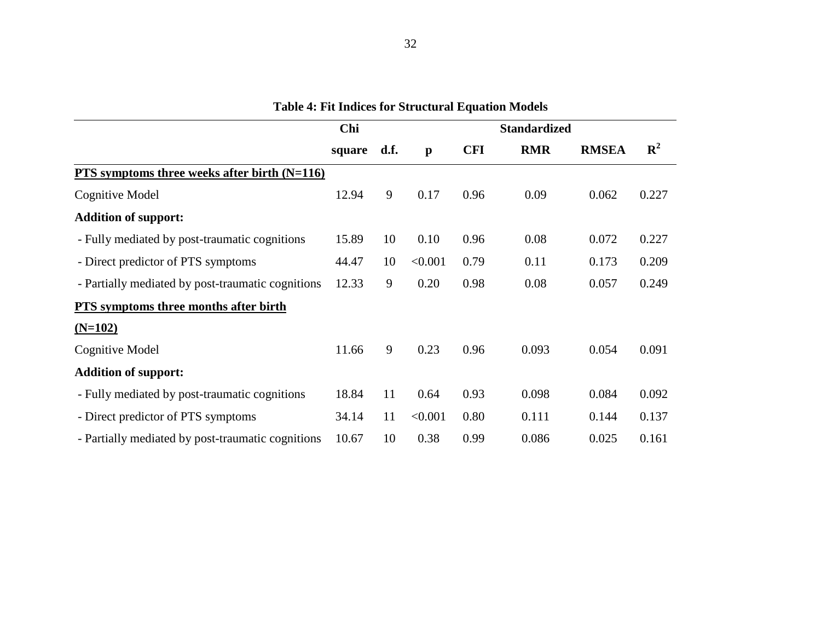<span id="page-32-0"></span>

|                                                   | Chi    |      | <b>Standardized</b> |            |            |              |             |  |
|---------------------------------------------------|--------|------|---------------------|------------|------------|--------------|-------------|--|
|                                                   | square | d.f. | $\mathbf{p}$        | <b>CFI</b> | <b>RMR</b> | <b>RMSEA</b> | ${\bf R}^2$ |  |
| PTS symptoms three weeks after birth $(N=116)$    |        |      |                     |            |            |              |             |  |
| Cognitive Model                                   | 12.94  | 9    | 0.17                | 0.96       | 0.09       | 0.062        | 0.227       |  |
| <b>Addition of support:</b>                       |        |      |                     |            |            |              |             |  |
| - Fully mediated by post-traumatic cognitions     | 15.89  | 10   | 0.10                | 0.96       | 0.08       | 0.072        | 0.227       |  |
| - Direct predictor of PTS symptoms                | 44.47  | 10   | < 0.001             | 0.79       | 0.11       | 0.173        | 0.209       |  |
| - Partially mediated by post-traumatic cognitions | 12.33  | 9    | 0.20                | 0.98       | 0.08       | 0.057        | 0.249       |  |
| PTS symptoms three months after birth             |        |      |                     |            |            |              |             |  |
| $(N=102)$                                         |        |      |                     |            |            |              |             |  |
| Cognitive Model                                   | 11.66  | 9    | 0.23                | 0.96       | 0.093      | 0.054        | 0.091       |  |
| <b>Addition of support:</b>                       |        |      |                     |            |            |              |             |  |
| - Fully mediated by post-traumatic cognitions     | 18.84  | 11   | 0.64                | 0.93       | 0.098      | 0.084        | 0.092       |  |
| - Direct predictor of PTS symptoms                | 34.14  | 11   | < 0.001             | 0.80       | 0.111      | 0.144        | 0.137       |  |
| - Partially mediated by post-traumatic cognitions | 10.67  | 10   | 0.38                | 0.99       | 0.086      | 0.025        | 0.161       |  |

**Table 4: Fit Indices for Structural Equation Models**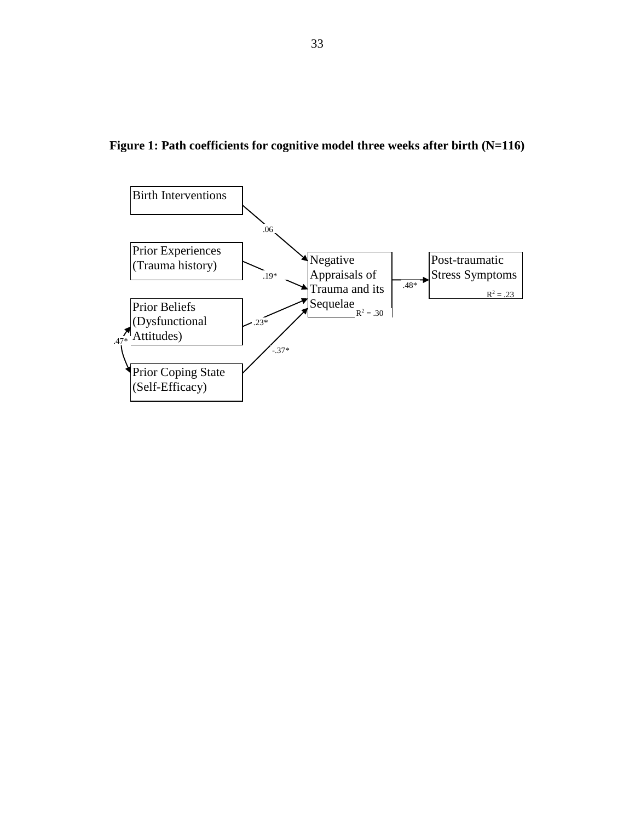<span id="page-33-0"></span>